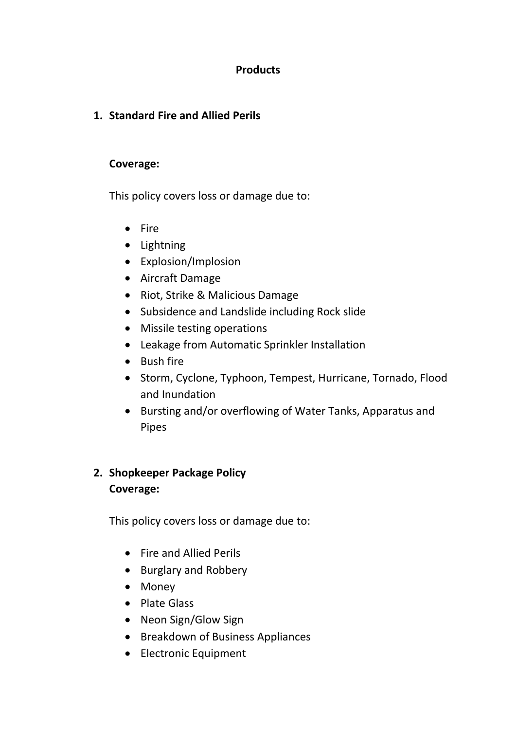## **Products**

## **1. Standard Fire and Allied Perils**

## **Coverage:**

This policy covers loss or damage due to:

- $•$  Fire
- Lightning
- Explosion/Implosion
- Aircraft Damage
- Riot, Strike & Malicious Damage
- Subsidence and Landslide including Rock slide
- Missile testing operations
- Leakage from Automatic Sprinkler Installation
- Bush fire
- Storm, Cyclone, Typhoon, Tempest, Hurricane, Tornado, Flood and Inundation
- Bursting and/or overflowing of Water Tanks, Apparatus and Pipes

# **2. Shopkeeper Package Policy Coverage:**

This policy covers loss or damage due to:

- Fire and Allied Perils
- Burglary and Robbery
- Money
- Plate Glass
- Neon Sign/Glow Sign
- Breakdown of Business Appliances
- Electronic Equipment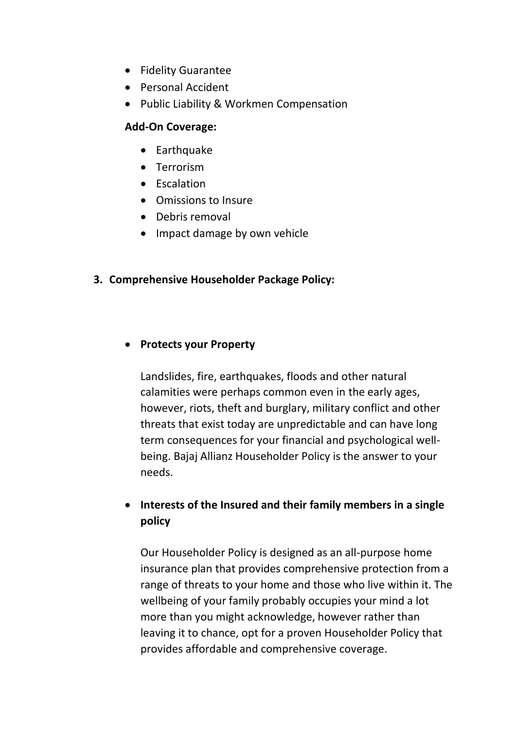- Fidelity Guarantee
- Personal Accident
- Public Liability & Workmen Compensation

#### **Add-On Coverage:**

- Earthquake
- **•** Terrorism
- **•** Escalation
- Omissions to Insure
- Debris removal
- Impact damage by own vehicle

#### **3. Comprehensive Householder Package Policy:**

## **Protects your Property**

Landslides, fire, earthquakes, floods and other natural calamities were perhaps common even in the early ages, however, riots, theft and burglary, military conflict and other threats that exist today are unpredictable and can have long term consequences for your financial and psychological wellbeing. Bajaj Allianz Householder Policy is the answer to your needs.

# **Interests of the Insured and their family members in a single policy**

Our Householder Policy is designed as an all-purpose home insurance plan that provides comprehensive protection from a range of threats to your home and those who live within it. The wellbeing of your family probably occupies your mind a lot more than you might acknowledge, however rather than leaving it to chance, opt for a proven Householder Policy that provides affordable and comprehensive coverage.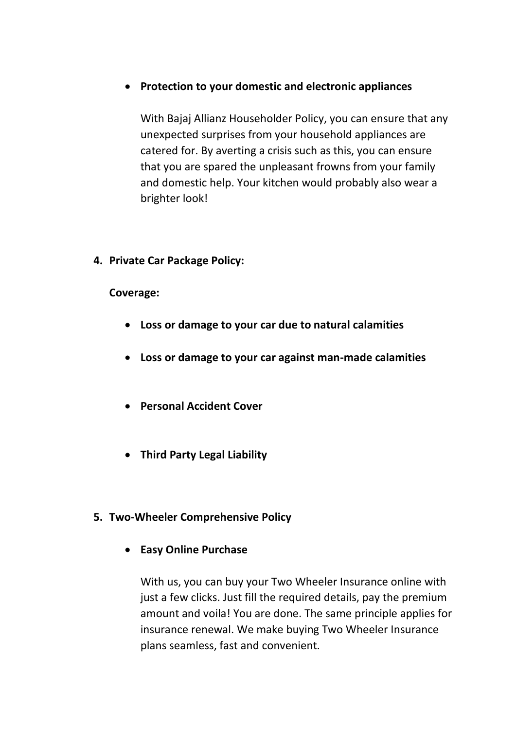## **Protection to your domestic and electronic appliances**

With Bajaj Allianz Householder Policy, you can ensure that any unexpected surprises from your household appliances are catered for. By averting a crisis such as this, you can ensure that you are spared the unpleasant frowns from your family and domestic help. Your kitchen would probably also wear a brighter look!

**4. Private Car Package Policy:**

**Coverage:**

- **Loss or damage to your car due to natural calamities**
- **Loss or damage to your car against man-made calamities**
- **Personal Accident Cover**
- **Third Party Legal Liability**

## **5. Two-Wheeler Comprehensive Policy**

**Easy Online Purchase**

With us, you can buy your Two Wheeler Insurance online with just a few clicks. Just fill the required details, pay the premium amount and voila! You are done. The same principle applies for insurance renewal. We make buying Two Wheeler Insurance plans seamless, fast and convenient.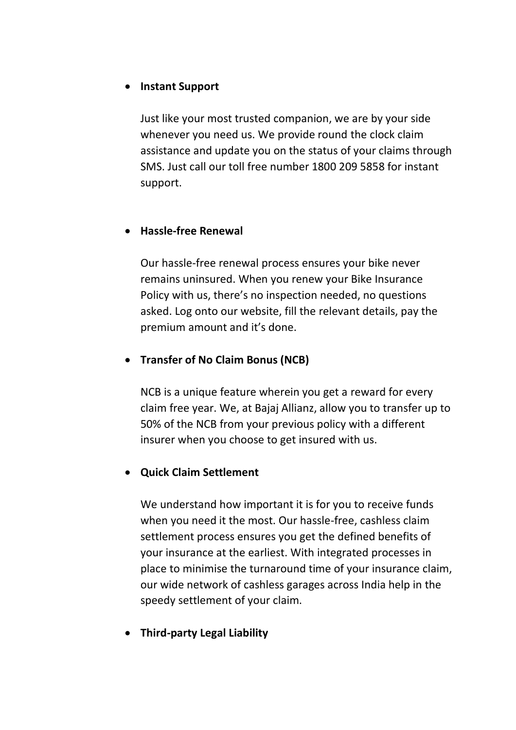## **Instant Support**

Just like your most trusted companion, we are by your side whenever you need us. We provide round the clock claim assistance and update you on the status of your claims through SMS. Just call our toll free number 1800 209 5858 for instant support.

## **Hassle-free Renewal**

Our hassle-free renewal process ensures your bike never remains uninsured. When you renew your Bike Insurance Policy with us, there's no inspection needed, no questions asked. Log onto our website, fill the relevant details, pay the premium amount and it's done.

### **Transfer of No Claim Bonus (NCB)**

NCB is a unique feature wherein you get a reward for every claim free year. We, at Bajaj Allianz, allow you to transfer up to 50% of the NCB from your previous policy with a different insurer when you choose to get insured with us.

## **Quick Claim Settlement**

We understand how important it is for you to receive funds when you need it the most. Our hassle-free, cashless claim settlement process ensures you get the defined benefits of your insurance at the earliest. With integrated processes in place to minimise the turnaround time of your insurance claim, our wide network of cashless garages across India help in the speedy settlement of your claim.

**Third-party Legal Liability**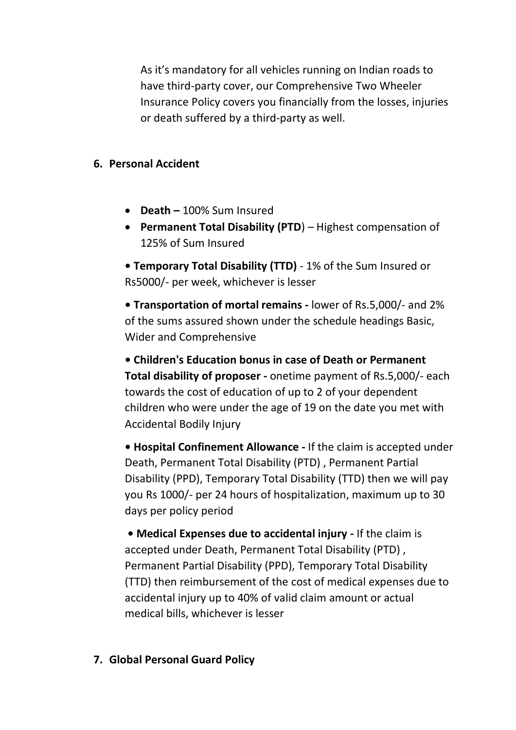As it's mandatory for all vehicles running on Indian roads to have third-party cover, our Comprehensive Two Wheeler Insurance Policy covers you financially from the losses, injuries or death suffered by a third-party as well.

#### **6. Personal Accident**

- **Death –** 100% Sum Insured
- **Permanent Total Disability (PTD**) Highest compensation of 125% of Sum Insured

**• Temporary Total Disability (TTD)** - 1% of the Sum Insured or Rs5000/- per week, whichever is lesser

**• Transportation of mortal remains -** lower of Rs.5,000/- and 2% of the sums assured shown under the schedule headings Basic, Wider and Comprehensive

**• Children's Education bonus in case of Death or Permanent Total disability of proposer -** onetime payment of Rs.5,000/- each towards the cost of education of up to 2 of your dependent children who were under the age of 19 on the date you met with Accidental Bodily Injury

**• Hospital Confinement Allowance -** If the claim is accepted under Death, Permanent Total Disability (PTD) , Permanent Partial Disability (PPD), Temporary Total Disability (TTD) then we will pay you Rs 1000/- per 24 hours of hospitalization, maximum up to 30 days per policy period

**• Medical Expenses due to accidental injury -** If the claim is accepted under Death, Permanent Total Disability (PTD) , Permanent Partial Disability (PPD), Temporary Total Disability (TTD) then reimbursement of the cost of medical expenses due to accidental injury up to 40% of valid claim amount or actual medical bills, whichever is lesser

## **7. Global Personal Guard Policy**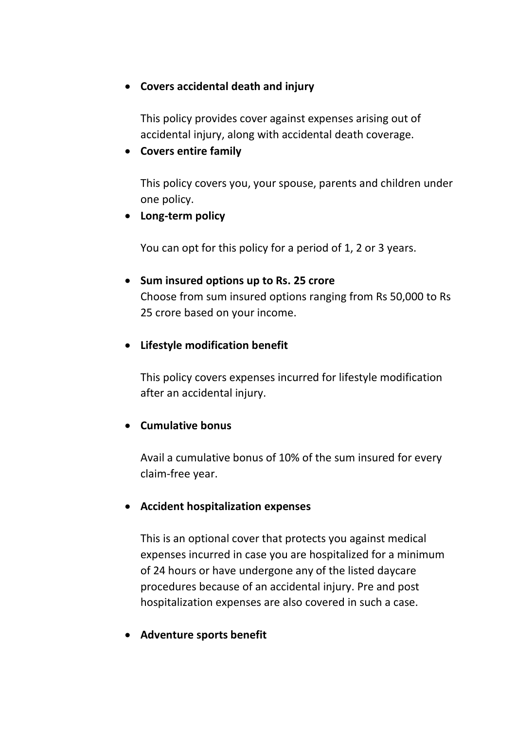## **Covers accidental death and injury**

This policy provides cover against expenses arising out of accidental injury, along with accidental death coverage.

## **Covers entire family**

This policy covers you, your spouse, parents and children under one policy.

## **Long-term policy**

You can opt for this policy for a period of 1, 2 or 3 years.

#### **Sum insured options up to Rs. 25 crore**

Choose from sum insured options ranging from Rs 50,000 to Rs 25 crore based on your income.

## **Lifestyle modification benefit**

This policy covers expenses incurred for lifestyle modification after an accidental injury.

## **Cumulative bonus**

Avail a cumulative bonus of 10% of the sum insured for every claim-free year.

## **Accident hospitalization expenses**

This is an optional cover that protects you against medical expenses incurred in case you are hospitalized for a minimum of 24 hours or have undergone any of the listed daycare procedures because of an accidental injury. Pre and post hospitalization expenses are also covered in such a case.

## **Adventure sports benefit**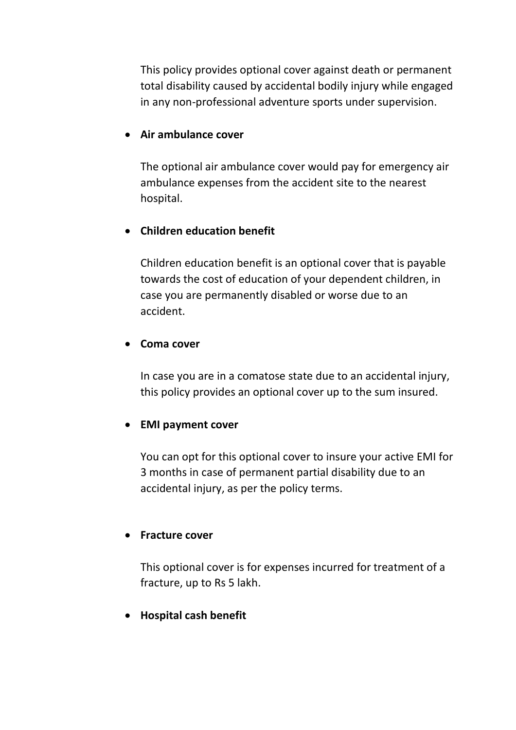This policy provides optional cover against death or permanent total disability caused by accidental bodily injury while engaged in any non-professional adventure sports under supervision.

### **Air ambulance cover**

The optional air ambulance cover would pay for emergency air ambulance expenses from the accident site to the nearest hospital.

#### **Children education benefit**

Children education benefit is an optional cover that is payable towards the cost of education of your dependent children, in case you are permanently disabled or worse due to an accident.

#### **Coma cover**

In case you are in a comatose state due to an accidental injury, this policy provides an optional cover up to the sum insured.

#### **EMI payment cover**

You can opt for this optional cover to insure your active EMI for 3 months in case of permanent partial disability due to an accidental injury, as per the policy terms.

#### **Fracture cover**

This optional cover is for expenses incurred for treatment of a fracture, up to Rs 5 lakh.

**Hospital cash benefit**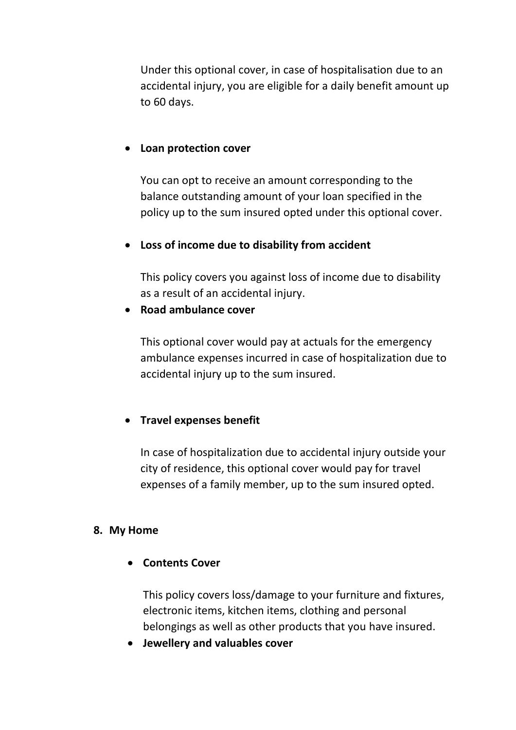Under this optional cover, in case of hospitalisation due to an accidental injury, you are eligible for a daily benefit amount up to 60 days.

#### **Loan protection cover**

You can opt to receive an amount corresponding to the balance outstanding amount of your loan specified in the policy up to the sum insured opted under this optional cover.

#### **Loss of income due to disability from accident**

This policy covers you against loss of income due to disability as a result of an accidental injury.

#### **Road ambulance cover**

This optional cover would pay at actuals for the emergency ambulance expenses incurred in case of hospitalization due to accidental injury up to the sum insured.

## **•** Travel expenses benefit

In case of hospitalization due to accidental injury outside your city of residence, this optional cover would pay for travel expenses of a family member, up to the sum insured opted.

#### **8. My Home**

## **Contents Cover**

This policy covers loss/damage to your furniture and fixtures, electronic items, kitchen items, clothing and personal belongings as well as other products that you have insured.

**Jewellery and valuables cover**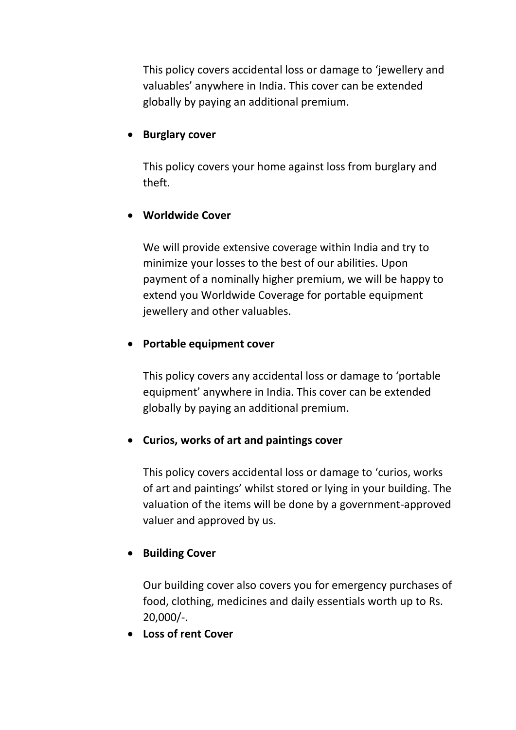This policy covers accidental loss or damage to 'jewellery and valuables' anywhere in India. This cover can be extended globally by paying an additional premium.

## **•** Burglary cover

This policy covers your home against loss from burglary and theft.

## **Worldwide Cover**

We will provide extensive coverage within India and try to minimize your losses to the best of our abilities. Upon payment of a nominally higher premium, we will be happy to extend you Worldwide Coverage for portable equipment jewellery and other valuables.

## **Portable equipment cover**

This policy covers any accidental loss or damage to 'portable equipment' anywhere in India. This cover can be extended globally by paying an additional premium.

## **Curios, works of art and paintings cover**

This policy covers accidental loss or damage to 'curios, works of art and paintings' whilst stored or lying in your building. The valuation of the items will be done by a government-approved valuer and approved by us.

## **•** Building Cover

Our building cover also covers you for emergency purchases of food, clothing, medicines and daily essentials worth up to Rs. 20,000/-.

**Loss of rent Cover**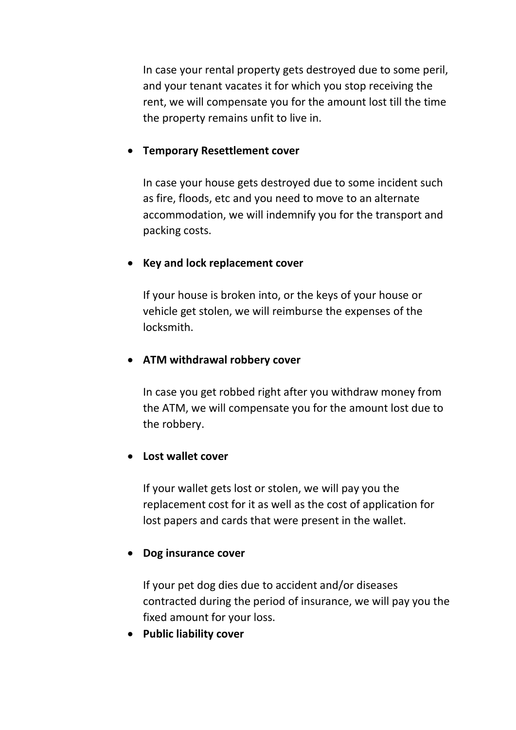In case your rental property gets destroyed due to some peril, and your tenant vacates it for which you stop receiving the rent, we will compensate you for the amount lost till the time the property remains unfit to live in.

### **Temporary Resettlement cover**

In case your house gets destroyed due to some incident such as fire, floods, etc and you need to move to an alternate accommodation, we will indemnify you for the transport and packing costs.

#### **Key and lock replacement cover**

If your house is broken into, or the keys of your house or vehicle get stolen, we will reimburse the expenses of the locksmith.

#### **ATM withdrawal robbery cover**

In case you get robbed right after you withdraw money from the ATM, we will compensate you for the amount lost due to the robbery.

## **Lost wallet cover**

If your wallet gets lost or stolen, we will pay you the replacement cost for it as well as the cost of application for lost papers and cards that were present in the wallet.

## **Dog insurance cover**

If your pet dog dies due to accident and/or diseases contracted during the period of insurance, we will pay you the fixed amount for your loss.

**Public liability cover**